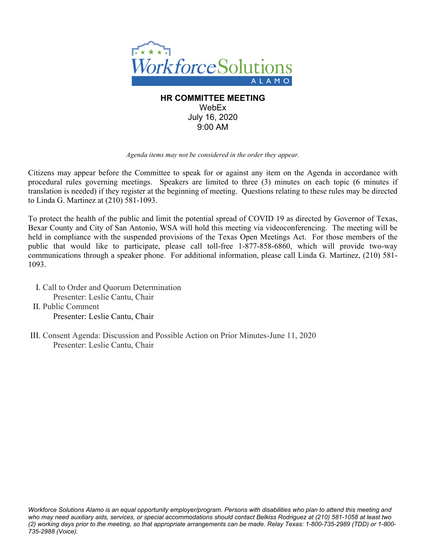

# **HR COMMITTEE MEETING** WebEx July 16, 2020 9:00 AM

# *Agenda items may not be considered in the order they appear.*

Citizens may appear before the Committee to speak for or against any item on the Agenda in accordance with procedural rules governing meetings. Speakers are limited to three (3) minutes on each topic (6 minutes if translation is needed) if they register at the beginning of meeting. Questions relating to these rules may be directed to Linda G. Martinez at (210) 581-1093.

To protect the health of the public and limit the potential spread of COVID 19 as directed by Governor of Texas, Bexar County and City of San Antonio, WSA will hold this meeting via videoconferencing. The meeting will be held in compliance with the suspended provisions of the Texas Open Meetings Act. For those members of the public that would like to participate, please call toll-free 1-877-858-6860, which will provide two-way communications through a speaker phone. For additional information, please call Linda G. Martinez, (210) 581- 1093.

I. Call to Order and Quorum Determination Presenter: Leslie Cantu, Chair II. Public Comment Presenter: Leslie Cantu, Chair

III. Consent Agenda: Discussion and Possible Action on Prior Minutes-June 11, 2020 Presenter: Leslie Cantu, Chair

*Workforce Solutions Alamo is an equal opportunity employer/program. Persons with disabilities who plan to attend this meeting and who may need auxiliary aids, services, or special accommodations should contact Belkiss Rodriguez at (210) 581-1058 at least two (2) working days prior to the meeting, so that appropriate arrangements can be made. Relay Texas: 1-800-735-2989 (TDD) or 1-800- 735-2988 (Voice).*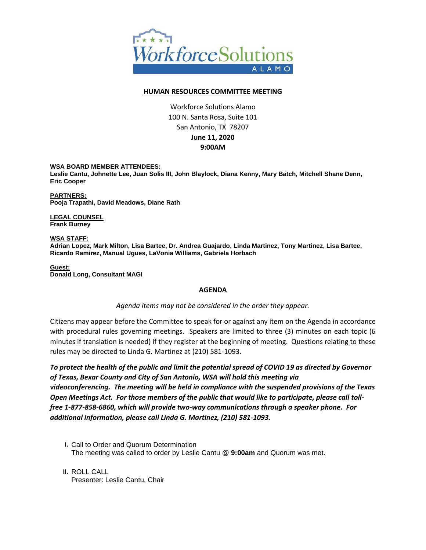

# **HUMAN RESOURCES COMMITTEE MEETING**

Workforce Solutions Alamo 100 N. Santa Rosa, Suite 101 San Antonio, TX 78207 **June 11, 2020 9:00AM**

### **WSA BOARD MEMBER ATTENDEES:**

**Leslie Cantu, Johnette Lee, Juan Solis III, John Blaylock, Diana Kenny, Mary Batch, Mitchell Shane Denn, Eric Cooper**

**PARTNERS: Pooja Trapathi, David Meadows, Diane Rath**

**LEGAL COUNSEL Frank Burney**

**WSA STAFF: Adrian Lopez, Mark Milton, Lisa Bartee, Dr. Andrea Guajardo, Linda Martinez, Tony Martinez, Lisa Bartee, Ricardo Ramirez, Manual Ugues, LaVonia Williams, Gabriela Horbach**

**Guest: Donald Long, Consultant MAGI**

### **AGENDA**

### *Agenda items may not be considered in the order they appear.*

Citizens may appear before the Committee to speak for or against any item on the Agenda in accordance with procedural rules governing meetings. Speakers are limited to three (3) minutes on each topic (6 minutes if translation is needed) if they register at the beginning of meeting. Questions relating to these rules may be directed to Linda G. Martinez at (210) 581-1093.

*To protect the health of the public and limit the potential spread of COVID 19 as directed by Governor of Texas, Bexar County and City of San Antonio, WSA will hold this meeting via videoconferencing. The meeting will be held in compliance with the suspended provisions of the Texas Open Meetings Act. For those members of the public that would like to participate, please call tollfree 1-877-858-6860, which will provide two-way communications through a speaker phone. For additional information, please call Linda G. Martinez, (210) 581-1093.* 

- **I.** Call to Order and Quorum Determination The meeting was called to order by Leslie Cantu @ **9:00am** and Quorum was met.
- **II.** ROLL CALL Presenter: Leslie Cantu, Chair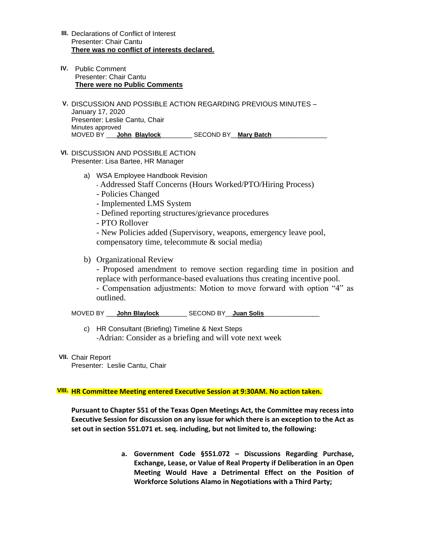- **III.** Declarations of Conflict of Interest Presenter: Chair Cantu **There was no conflict of interests declared.**
- **IV.** Public Comment Presenter: Chair Cantu **There were no Public Comments**
- **V.** DISCUSSION AND POSSIBLE ACTION REGARDING PREVIOUS MINUTES January 17, 2020 Presenter: Leslie Cantu, Chair Minutes approved MOVED BY \_\_\_**John**\_**Blaylock**\_\_\_\_\_\_\_\_\_ SECOND BY\_\_**Mary Batch**\_\_\_\_\_\_\_\_\_\_\_\_\_\_\_\_
- **VI.** DISCUSSION AND POSSIBLE ACTION Presenter: Lisa Bartee, HR Manager
	- a) WSA Employee Handbook Revision
		- Addressed Staff Concerns (Hours Worked/PTO/Hiring Process)
		- Policies Changed
		- Implemented LMS System
		- Defined reporting structures/grievance procedures
		- PTO Rollover

- New Policies added (Supervisory, weapons, emergency leave pool, compensatory time, telecommute & social media)

b) Organizational Review

- Proposed amendment to remove section regarding time in position and replace with performance-based evaluations thus creating incentive pool.

- Compensation adjustments: Motion to move forward with option "4" as outlined.

MOVED BY \_\_\_**John Blaylock**\_\_\_\_\_\_\_\_ SECOND BY\_\_**Juan Solis**\_\_\_\_\_\_\_\_\_\_\_\_\_\_\_\_

- c) HR Consultant (Briefing) Timeline & Next Steps -Adrian: Consider as a briefing and will vote next week
- **VII.** Chair Report

Presenter: Leslie Cantu, Chair

# **VIII. HR Committee Meeting entered Executive Session at 9:30AM. No action taken.**

**Pursuant to Chapter 551 of the Texas Open Meetings Act, the Committee may recess into Executive Session for discussion on any issue for which there is an exception to the Act as set out in section 551.071 et. seq. including, but not limited to, the following:** 

> **a. Government Code §551.072 – Discussions Regarding Purchase, Exchange, Lease, or Value of Real Property if Deliberation in an Open Meeting Would Have a Detrimental Effect on the Position of Workforce Solutions Alamo in Negotiations with a Third Party;**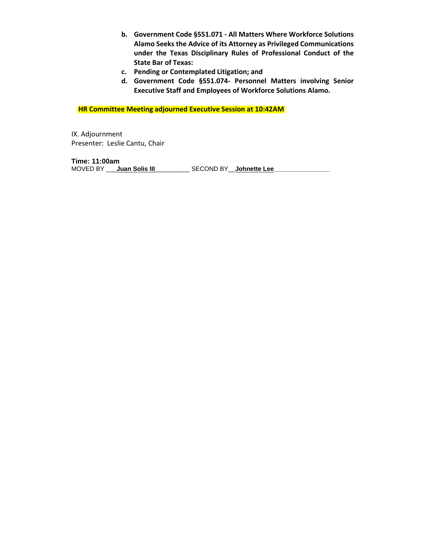- **b. Government Code §551.071 - All Matters Where Workforce Solutions Alamo Seeks the Advice of its Attorney as Privileged Communications under the Texas Disciplinary Rules of Professional Conduct of the State Bar of Texas:**
- **c. Pending or Contemplated Litigation; and**
- **d. Government Code §551.074- Personnel Matters involving Senior Executive Staff and Employees of Workforce Solutions Alamo.**

 **HR Committee Meeting adjourned Executive Session at 10:42AM**

IX. Adjournment Presenter: Leslie Cantu, Chair

**Time: 11:00am** MOVED BY \_\_\_**Juan Solis III**\_\_\_\_\_\_\_\_\_\_\_\_\_\_\_\_\_\_\_\_SECOND BY\_\_\_**Johnette Lee\_\_\_**